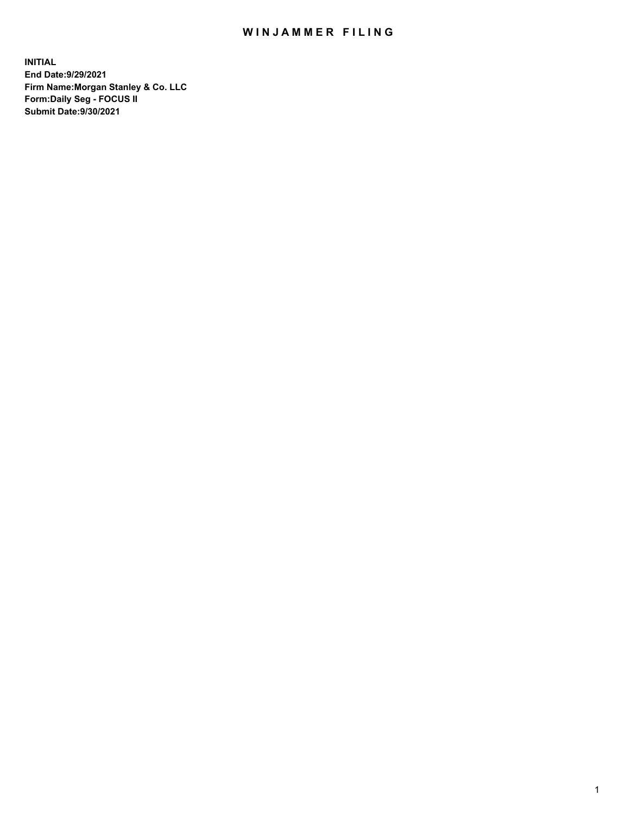## WIN JAMMER FILING

**INITIAL End Date:9/29/2021 Firm Name:Morgan Stanley & Co. LLC Form:Daily Seg - FOCUS II Submit Date:9/30/2021**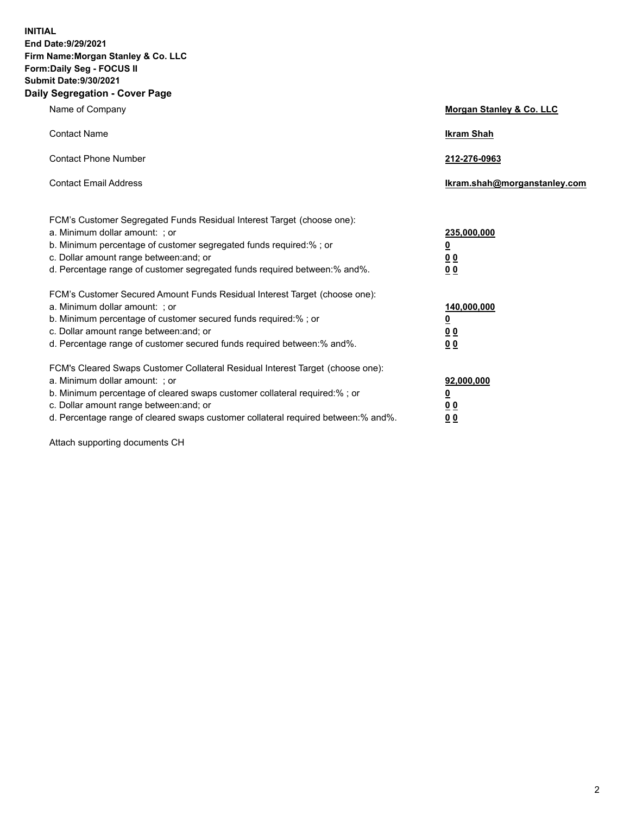**INITIAL End Date:9/29/2021 Firm Name:Morgan Stanley & Co. LLC Form:Daily Seg - FOCUS II Submit Date:9/30/2021 Daily Segregation - Cover Page**

| Name of Company                                                                                                                                                                                                                                                                                                                | Morgan Stanley & Co. LLC                               |
|--------------------------------------------------------------------------------------------------------------------------------------------------------------------------------------------------------------------------------------------------------------------------------------------------------------------------------|--------------------------------------------------------|
| <b>Contact Name</b>                                                                                                                                                                                                                                                                                                            | <b>Ikram Shah</b>                                      |
| <b>Contact Phone Number</b>                                                                                                                                                                                                                                                                                                    | 212-276-0963                                           |
| <b>Contact Email Address</b>                                                                                                                                                                                                                                                                                                   | Ikram.shah@morganstanley.com                           |
| FCM's Customer Segregated Funds Residual Interest Target (choose one):<br>a. Minimum dollar amount: ; or<br>b. Minimum percentage of customer segregated funds required:% ; or<br>c. Dollar amount range between: and; or<br>d. Percentage range of customer segregated funds required between:% and%.                         | 235,000,000<br><u>0</u><br>0 <sup>0</sup><br><u>00</u> |
| FCM's Customer Secured Amount Funds Residual Interest Target (choose one):<br>a. Minimum dollar amount: ; or<br>b. Minimum percentage of customer secured funds required:% ; or<br>c. Dollar amount range between: and; or<br>d. Percentage range of customer secured funds required between:% and%.                           | 140,000,000<br><u>0</u><br><u>00</u><br>00             |
| FCM's Cleared Swaps Customer Collateral Residual Interest Target (choose one):<br>a. Minimum dollar amount: ; or<br>b. Minimum percentage of cleared swaps customer collateral required:% ; or<br>c. Dollar amount range between: and; or<br>d. Percentage range of cleared swaps customer collateral required between:% and%. | 92,000,000<br><u>0</u><br><u>00</u><br>00              |

Attach supporting documents CH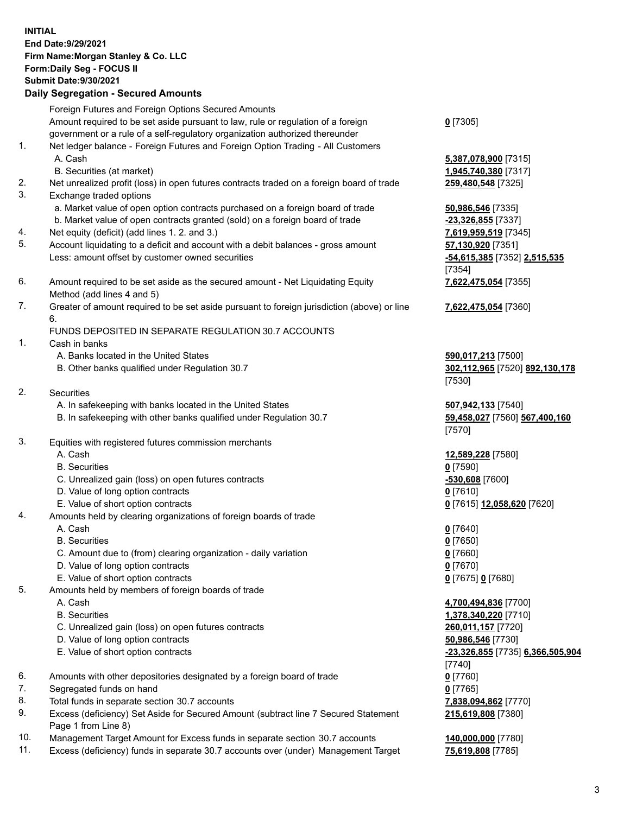## **INITIAL End Date:9/29/2021 Firm Name:Morgan Stanley & Co. LLC Form:Daily Seg - FOCUS II Submit Date:9/30/2021**

## **Daily Segregation - Secured Amounts**

Foreign Futures and Foreign Options Secured Amounts Amount required to be set aside pursuant to law, rule or regulation of a foreign government or a rule of a self-regulatory organization authorized thereunder 1. Net ledger balance - Foreign Futures and Foreign Option Trading - All Customers A. Cash **5,387,078,900** [7315] B. Securities (at market) **1,945,740,380** [7317] 2. Net unrealized profit (loss) in open futures contracts traded on a foreign board of trade **259,480,548** [7325] 3. Exchange traded options a. Market value of open option contracts purchased on a foreign board of trade **50,986,546** [7335] b. Market value of open contracts granted (sold) on a foreign board of trade **-23,326,855** [7337] 4. Net equity (deficit) (add lines 1. 2. and 3.) **7,619,959,519** [7345] 5. Account liquidating to a deficit and account with a debit balances - gross amount **57,130,920** [7351] Less: amount offset by customer owned securities **-54,615,385** [7352] **2,515,535** 6. Amount required to be set aside as the secured amount - Net Liquidating Equity Method (add lines 4 and 5) 7. Greater of amount required to be set aside pursuant to foreign jurisdiction (above) or line 6. FUNDS DEPOSITED IN SEPARATE REGULATION 30.7 ACCOUNTS 1. Cash in banks A. Banks located in the United States **590,017,213** [7500] B. Other banks qualified under Regulation 30.7 **302,112,965** [7520] **892,130,178** 2. Securities A. In safekeeping with banks located in the United States **507,942,133** [7540] B. In safekeeping with other banks qualified under Regulation 30.7 **59,458,027** [7560] **567,400,160**

- 3. Equities with registered futures commission merchants
	-
	- B. Securities **0** [7590]
	- C. Unrealized gain (loss) on open futures contracts **-530,608** [7600]
	- D. Value of long option contracts **0** [7610]
	- E. Value of short option contracts **0** [7615] **12,058,620** [7620]
- 4. Amounts held by clearing organizations of foreign boards of trade
	-
	- B. Securities **0** [7650]
	- C. Amount due to (from) clearing organization daily variation **0** [7660]
	- D. Value of long option contracts **0** [7670]
	- E. Value of short option contracts **0** [7675] **0** [7680]
- 5. Amounts held by members of foreign boards of trade
	-
	-
	- C. Unrealized gain (loss) on open futures contracts **260,011,157** [7720]
	- D. Value of long option contracts **50,986,546** [7730]
	-
- 6. Amounts with other depositories designated by a foreign board of trade **0** [7760]
- 7. Segregated funds on hand **0** [7765]
- 8. Total funds in separate section 30.7 accounts **7,838,094,862** [7770]
- 9. Excess (deficiency) Set Aside for Secured Amount (subtract line 7 Secured Statement Page 1 from Line 8)
- 10. Management Target Amount for Excess funds in separate section 30.7 accounts **140,000,000** [7780]
- 11. Excess (deficiency) funds in separate 30.7 accounts over (under) Management Target **75,619,808** [7785]

**0** [7305]

[7354] **7,622,475,054** [7355]

**7,622,475,054** [7360]

[7530]

[7570]

A. Cash **12,589,228** [7580]

A. Cash **0** [7640]

 A. Cash **4,700,494,836** [7700] B. Securities **1,378,340,220** [7710] E. Value of short option contracts **-23,326,855** [7735] **6,366,505,904** [7740] **215,619,808** [7380]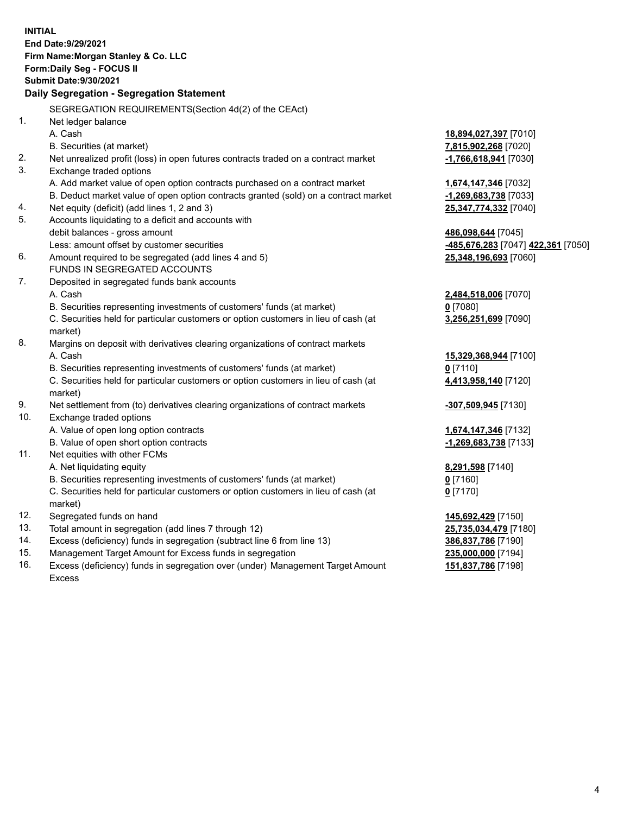**INITIAL End Date:9/29/2021 Firm Name:Morgan Stanley & Co. LLC Form:Daily Seg - FOCUS II Submit Date:9/30/2021 Daily Segregation - Segregation Statement** SEGREGATION REQUIREMENTS(Section 4d(2) of the CEAct) 1. Net ledger balance A. Cash **18,894,027,397** [7010] B. Securities (at market) **7,815,902,268** [7020] 2. Net unrealized profit (loss) in open futures contracts traded on a contract market **-1,766,618,941** [7030] 3. Exchange traded options A. Add market value of open option contracts purchased on a contract market **1,674,147,346** [7032] B. Deduct market value of open option contracts granted (sold) on a contract market **-1,269,683,738** [7033] 4. Net equity (deficit) (add lines 1, 2 and 3) **25,347,774,332** [7040] 5. Accounts liquidating to a deficit and accounts with debit balances - gross amount **486,098,644** [7045] Less: amount offset by customer securities **-485,676,283** [7047] **422,361** [7050] 6. Amount required to be segregated (add lines 4 and 5) **25,348,196,693** [7060] FUNDS IN SEGREGATED ACCOUNTS 7. Deposited in segregated funds bank accounts A. Cash **2,484,518,006** [7070] B. Securities representing investments of customers' funds (at market) **0** [7080] C. Securities held for particular customers or option customers in lieu of cash (at market) **3,256,251,699** [7090] 8. Margins on deposit with derivatives clearing organizations of contract markets A. Cash **15,329,368,944** [7100] B. Securities representing investments of customers' funds (at market) **0** [7110] C. Securities held for particular customers or option customers in lieu of cash (at market) **4,413,958,140** [7120] 9. Net settlement from (to) derivatives clearing organizations of contract markets **-307,509,945** [7130] 10. Exchange traded options A. Value of open long option contracts **1,674,147,346** [7132] B. Value of open short option contracts **-1,269,683,738** [7133] 11. Net equities with other FCMs A. Net liquidating equity **8,291,598** [7140] B. Securities representing investments of customers' funds (at market) **0** [7160] C. Securities held for particular customers or option customers in lieu of cash (at market) **0** [7170] 12. Segregated funds on hand **145,692,429** [7150] 13. Total amount in segregation (add lines 7 through 12) **25,735,034,479** [7180] 14. Excess (deficiency) funds in segregation (subtract line 6 from line 13) **386,837,786** [7190] 15. Management Target Amount for Excess funds in segregation **235,000,000** [7194] **151,837,786** [7198]

16. Excess (deficiency) funds in segregation over (under) Management Target Amount Excess